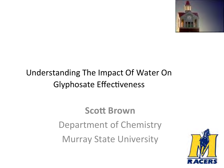

#### Understanding The Impact Of Water On Glyphosate Effectiveness

### **Scott Brown** Department of Chemistry **Murray State University**

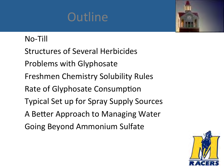



#### No-Till

Structures of Several Herbicides

- Problems with Glyphosate
- Freshmen Chemistry Solubility Rules

Rate of Glyphosate Consumption

- Typical Set up for Spray Supply Sources
- A Better Approach to Managing Water
- Going Beyond Ammonium Sulfate

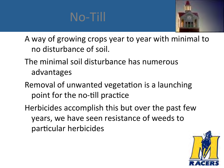



A way of growing crops year to year with minimal to no disturbance of soil.

- The minimal soil disturbance has numerous advantages
- Removal of unwanted vegetation is a launching point for the no-till practice
- Herbicides accomplish this but over the past few years, we have seen resistance of weeds to particular herbicides

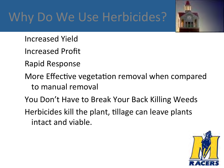### Why Do We Use Herbicides?



- Increased Yield
- Increased Profit
- Rapid Response
- More Effective vegetation removal when compared to manual removal
- You Don't Have to Break Your Back Killing Weeds
- Herbicides kill the plant, tillage can leave plants intact and viable.

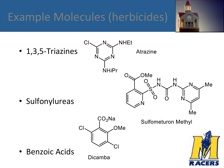### Example Molecules (herbicides)



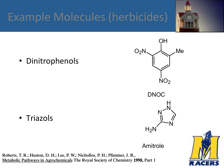### Example Molecules (herbicides)







• Triazols 

Amitrole

**Roberts, T. R.; Huston, D. H.; Lee, P. W.; Nichollos, P. H.; Plimmer, J. R., Metabolic Pathways in Agrochemicals The Royal Society of Chemistry 1998, Part 1** 

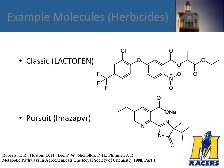### Example Molecules (Herbicides)



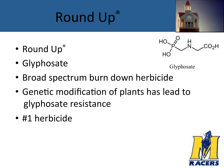

- Round Up®
- Glyphosate



Glyphosate

- Broad spectrum burn down herbicide
- Genetic modification of plants has lead to glyphosate resistance
- #1 herbicide

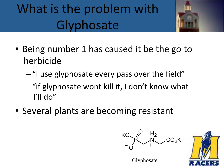# What is the problem with **Glyphosate**



- Being number 1 has caused it be the go to herbicide
	- $-$ "I use glyphosate every pass over the field"
	- $-$  "if glyphosate wont kill it, I don't know what I'll do"
- Several plants are becoming resistant





Glyphosate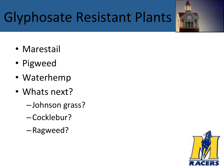# Glyphosate Resistant Plants

- Marestail
- Pigweed
- Waterhemp
- Whats next?
	- –Johnson grass?
	- –Cocklebur?
	- –Ragweed?

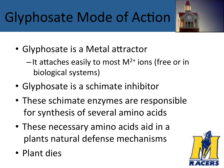# Glyphosate Mode of Action

- Glyphosate is a Metal attractor
	- $-$ It attaches easily to most M<sup>2+</sup> ions (free or in biological systems)
- Glyphosate is a schimate inhibitor
- These schimate enzymes are responsible for synthesis of several amino acids
- These necessary amino acids aid in a plants natural defense mechanisms
- Plant dies

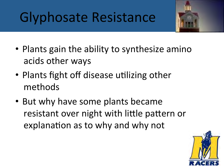# Glyphosate Resistance



- Plants gain the ability to synthesize amino acids other ways
- Plants fight off disease utilizing other methods
- But why have some plants became resistant over night with little pattern or explanation as to why and why not

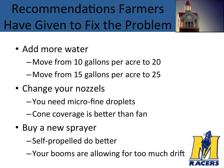# Recommendations Farmers Have Given to Fix the Problem



- Add more water
	- Move from 10 gallons per acre to 20
	- Move from 15 gallons per acre to 25
- Change your nozzels
	- –You need micro-fine droplets
	- $-$  Cone coverage is better than fan
- Buy a new sprayer
	- $-$ Self-propelled do better
	- -Your booms are allowing for too much drift

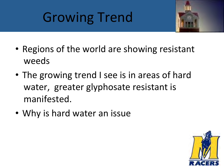# **Growing Trend**



- Regions of the world are showing resistant weeds
- The growing trend I see is in areas of hard water, greater glyphosate resistant is manifested.
- Why is hard water an issue

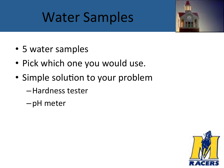### Water Samples



- 5 water samples
- Pick which one you would use.
- Simple solution to your problem
	- –Hardness tester
	- –pH meter

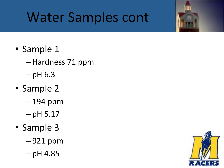# Water Samples cont

- Sample 1
	- –Hardness 71 ppm
	- $-pH<sub>6.3</sub>$
- Sample 2
	- $-194$  ppm
	- $-pH 5.17$
- Sample 3
	- $-921$  ppm
	- $-pH$  4.85

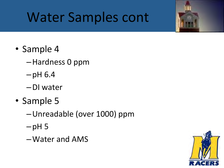# Water Samples cont

- Sample 4
	- –Hardness 0 ppm
	- $-pH\,6.4$
	- –DI water
- Sample 5
	- –Unreadable (over 1000) ppm
	- $-\text{pH}5$
	- –Water and AMS

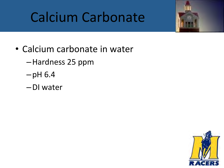# Calcium Carbonate



- Calcium carbonate in water
	- –Hardness 25 ppm
	- $-pH<sub>6.4</sub>$
	- –DI water

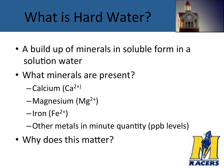# What is Hard Water?



- A build up of minerals in soluble form in a solution water
- What minerals are present?
	- $-Calcium (Ca<sup>2+</sup>)$
	- $-Magnesium (Mg<sup>2+</sup>)$
	- $-$ Iron (Fe<sup>2+</sup>)
	- $-$ Other metals in minute quantity (ppb levels)
- Why does this matter?

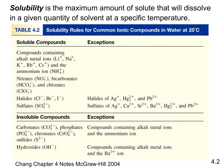#### *Solubility* is the maximum amount of solute that will dissolve in a given quantity of solvent at a specific temperature.

#### Solubility Rules for Common Ionic Compounds in Water at 25°C **TABLE 4.2**

| <b>Soluble Compounds</b>                                                                                            | <b>Exceptions</b>                                                                                                                          |  |  |
|---------------------------------------------------------------------------------------------------------------------|--------------------------------------------------------------------------------------------------------------------------------------------|--|--|
| Compounds containing<br>alkali metal ions $(L+, Na+,$<br>$K^+$ , $Rb^+$ , $Cs^+$ ) and the<br>ammonium ion $(NH4+)$ |                                                                                                                                            |  |  |
| Nitrates $(NO3)$ , bicarbonates<br>$(HCO3)$ , and chlorates<br>(CIO <sub>3</sub> )                                  |                                                                                                                                            |  |  |
| Halides $(Cl^-, Br^-, \Gamma)$                                                                                      | Halides of Ag <sup>+</sup> , Hg <sub>2</sub> <sup>+</sup> , and Pb <sup>2+</sup>                                                           |  |  |
| Sulfates $(SO_4^{2-})$                                                                                              | Sulfates of Ag <sup>+</sup> , Ca <sup>2+</sup> , Sr <sup>2+</sup> , Ba <sup>2+</sup> , Hg <sub>2</sub> <sup>+</sup> , and Pb <sup>2+</sup> |  |  |
| <b>Insoluble Compounds</b>                                                                                          | <b>Exceptions</b>                                                                                                                          |  |  |
| Carbonates $(CO_3^{2-})$ , phosphates<br>$(PO43$ , chromates $(CrO42)$ ,<br>sulfides $(S^2)$                        | Compounds containing alkali metal ions<br>and the ammonium ion                                                                             |  |  |
| $Hydroxides$ ( $OH^-$ )                                                                                             | Compounds containing alkali metal ions<br>and the $Ba^{2+}$ ion                                                                            |  |  |

Chang Chapter 4 Notes McGraw-Hill 2004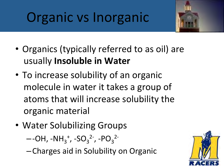# Organic vs Inorganic



- Organics (typically referred to as oil) are usually **Insoluble in Water**
- To increase solubility of an organic molecule in water it takes a group of atoms that will increase solubility the organic material
- Water Solubilizing Groups

 $-$ -OH, -NH<sub>3</sub><sup>+</sup>, -SO<sub>3</sub><sup>2-</sup>, -PO<sub>3</sub><sup>2-</sup>

–Charges aid in Solubility on Organic 

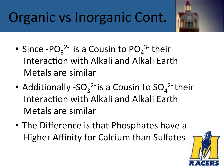# Organic vs Inorganic Cont.



- Since  $-PO_3^2$  is a Cousin to  $PO_4^3$  their Interaction with Alkali and Alkali Earth Metals are similar
- Additionally -SO<sub>3</sub><sup>2-</sup> is a Cousin to  $SO_4^2$ <sup>-</sup> their Interaction with Alkali and Alkali Earth Metals are similar
- The Difference is that Phosphates have a Higher Affinity for Calcium than Sulfates

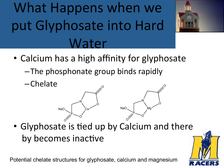# What Happens when we put Glyphosate into Hard Water



O

- Calcium has a high affinity for glyphosate
	- $-$ The phosphonate group binds rapidly
	- –Chelate P O Ca N NaO O  $\overline{\rm O}$ P O Mg N O NaO O
- Glyphosate is tied up by Calcium and there by becomes inactive

Potential chelate structures for glyphosate, calcium and magnesium

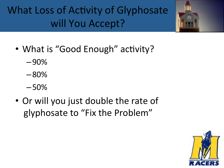What Loss of Activity of Glyphosate will You Accept?



- What is "Good Enough" activity?
	- –90%
	- –80%
	- –50%
- Or will you just double the rate of glyphosate to "Fix the Problem"

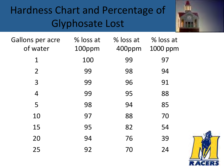### Hardness Chart and Percentage of Glyphosate Lost



| <b>Gallons per acre</b><br>of water | % loss at<br>100ppm | % loss at<br>400ppm | % loss at<br>1000 ppm |
|-------------------------------------|---------------------|---------------------|-----------------------|
| $\mathbf 1$                         | 100                 | 99                  | 97                    |
| $\overline{2}$                      | 99                  | 98                  | 94                    |
| 3                                   | 99                  | 96                  | 91                    |
| 4                                   | 99                  | 95                  | 88                    |
| 5                                   | 98                  | 94                  | 85                    |
| 10                                  | 97                  | 88                  | 70                    |
| 15                                  | 95                  | 82                  | 54                    |
| 20                                  | 94                  | 76                  | 39                    |
| 25                                  | 92                  | 70                  | 24                    |

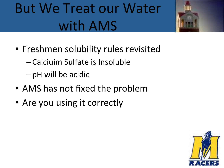# But We Treat our Water with AMS



–Calciuim Sulfate is Insoluble 

 $-pH$  will be acidic

- AMS has not fixed the problem
- Are you using it correctly



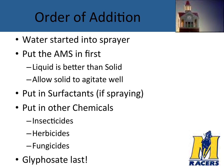# Order of Addition

- Water started into sprayer
- Put the AMS in first
	- $-$ Liquid is better than Solid
	- –Allow solid to agitate well
- Put in Surfactants (if spraying)
- Put in other Chemicals
	- $-$ Insecticides
	- –Herbicides
	- –Fungicides
- Glyphosate last!

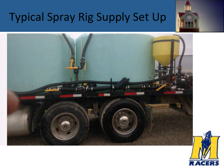### Typical Spray Rig Supply Set Up





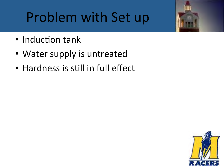# Problem with Set up

- Induction tank
- Water supply is untreated
- Hardness is still in full effect



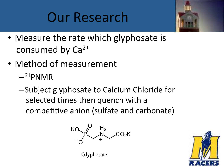### Our Research



- Measure the rate which glyphosate is consumed by  $Ca<sup>2+</sup>$
- Method of measurement
	- $-$ <sup>31</sup>PNMR
	- –Subject glyphosate to Calcium Chloride for selected times then quench with a competitive anion (sulfate and carbonate)





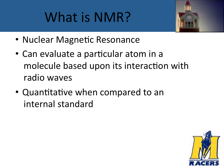# What is NMR?



- Nuclear Magnetic Resonance
- Can evaluate a particular atom in a molecule based upon its interaction with radio waves
- Quantitative when compared to an internal standard

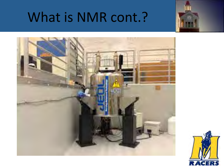### What is NMR cont.?





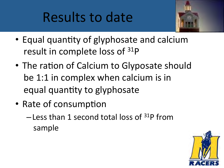# Results to date



- Equal quantity of glyphosate and calcium result in complete loss of  $31P$
- The ration of Calcium to Glyposate should be 1:1 in complex when calcium is in equal quantity to glyphosate
- Rate of consumption
	- $-$  Less than 1 second total loss of  $31P$  from sample

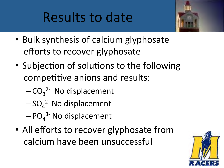# Results to date



- Bulk synthesis of calcium glyphosate efforts to recover glyphosate
- Subjection of solutions to the following competitive anions and results:
	- $-CO_3^2$ <sup>-</sup> No displacement
	- $-SO_4^2$ <sup>-</sup> No displacement
	- $-$ PO $_4$ <sup>3-</sup> No displacement
- All efforts to recover glyphosate from calcium have been unsuccessful

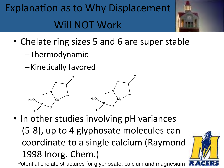Explanation as to Why Displacement Will NOT Work



- Chelate ring sizes 5 and 6 are super stable
	- –Thermodynamic
	- -Kinetically favored



• In other studies involving pH variances (5-8), up to 4 glyphosate molecules can coordinate to a single calcium (Raymond 1998 Inorg. Chem.)

Potential chelate structures for glyphosate, calcium and magnesium

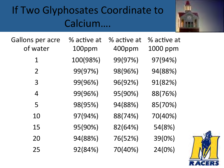### If Two Glyphosates Coordinate to Calcium….



| Gallons per acre | % active at | % active at | % active at |
|------------------|-------------|-------------|-------------|
| of water         | 100ppm      | 400ppm      | 1000 ppm    |
| $\mathbf 1$      | 100(98%)    | 99(97%)     | 97(94%)     |
| $\overline{2}$   | 99(97%)     | 98(96%)     | 94(88%)     |
| 3                | 99(96%)     | 96(92%)     | 91(82%)     |
| 4                | 99(96%)     | 95(90%)     | 88(76%)     |
| 5                | 98(95%)     | 94(88%)     | 85(70%)     |
| 10               | 97(94%)     | 88(74%)     | 70(40%)     |
| 15               | 95(90%)     | 82(64%)     | 54(8%)      |
| 20               | 94(88%)     | 76(52%)     | 39(0%)      |
| 25               | 92(84%)     | 70(40%)     | 24(0%)      |

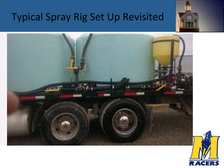### Typical Spray Rig Set Up Revisited





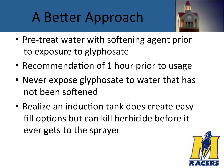# A Better Approach



- Pre-treat water with softening agent prior to exposure to glyphosate
- Recommendation of 1 hour prior to usage
- Never expose glyphosate to water that has not been softened
- Realize an induction tank does create easy fill options but can kill herbicide before it ever gets to the sprayer

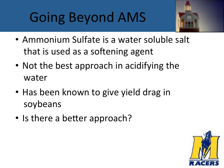# Going Beyond AMS



- Ammonium Sulfate is a water soluble salt that is used as a softening agent
- Not the best approach in acidifying the water
- Has been known to give yield drag in soybeans
- Is there a better approach?

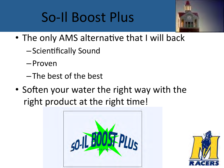# So-Il Boost Plus



- The only AMS alternative that I will back
	- $-$ Scientifically Sound
	- –Proven
	- –The best of the best
- Soften your water the right way with the right product at the right time!



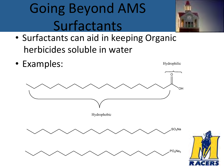# Going Beyond AMS Surfactants



• Surfactants can aid in keeping Organic herbicides soluble in water

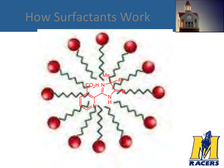### How Surfactants Work





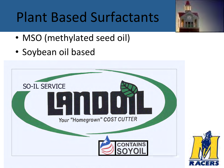# **Plant Based Surfactants**



- MSO (methylated seed oil)
- Soybean oil based